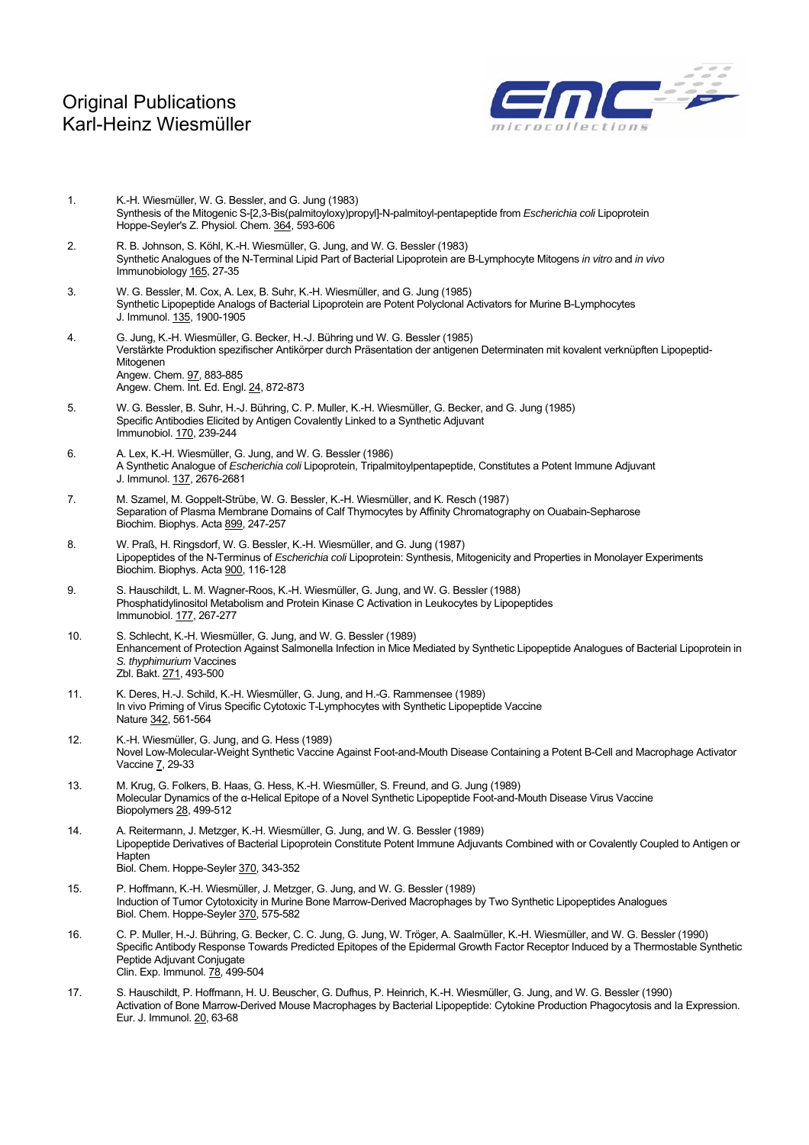

- 1. K.-H. Wiesmüller, W. G. Bessler, and G. Jung (1983) Synthesis of the Mitogenic S-[2,3-Bis(palmitoyloxy)propyl]-N-palmitoyl-pentapeptide from *Escherichia coli* Lipoprotein Hoppe-Seyler's Z. Physiol. Chem. 364, 593-606
- 2. R. B. Johnson, S. Köhl, K.-H. Wiesmüller, G. Jung, and W. G. Bessler (1983) Synthetic Analogues of the N-Terminal Lipid Part of Bacterial Lipoprotein are B-Lymphocyte Mitogens *in vitro* and *in vivo* Immunobiology 165, 27-35
- 3. W. G. Bessler, M. Cox, A. Lex, B. Suhr, K.-H. Wiesmüller, and G. Jung (1985) Synthetic Lipopeptide Analogs of Bacterial Lipoprotein are Potent Polyclonal Activators for Murine B-Lymphocytes J. Immunol. 135, 1900-1905
- 4. G. Jung, K.-H. Wiesmüller, G. Becker, H.-J. Bühring und W. G. Bessler (1985) Verstärkte Produktion spezifischer Antikörper durch Präsentation der antigenen Determinaten mit kovalent verknüpften Lipopeptid-Mitogenen Angew. Chem. 97, 883-885 Angew. Chem. Int. Ed. Engl. 24, 872-873
- 5. W. G. Bessler, B. Suhr, H.-J. Bühring, C. P. Muller, K.-H. Wiesmüller, G. Becker, and G. Jung (1985) Specific Antibodies Elicited by Antigen Covalently Linked to a Synthetic Adjuvant Immunobiol. 170, 239-244
- 6. A. Lex, K.-H. Wiesmüller, G. Jung, and W. G. Bessler (1986) A Synthetic Analogue of *Escherichia coli* Lipoprotein, Tripalmitoylpentapeptide, Constitutes a Potent Immune Adjuvant J. Immunol. 137, 2676-2681
- 7. M. Szamel, M. Goppelt-Strübe, W. G. Bessler, K.-H. Wiesmüller, and K. Resch (1987) Separation of Plasma Membrane Domains of Calf Thymocytes by Affinity Chromatography on Ouabain-Sepharose Biochim. Biophys. Acta 899, 247-257
- 8. W. Praß, H. Ringsdorf, W. G. Bessler, K.-H. Wiesmüller, and G. Jung (1987) Lipopeptides of the N-Terminus of *Escherichia coli* Lipoprotein: Synthesis, Mitogenicity and Properties in Monolayer Experiments Biochim. Biophys. Acta 900, 116-128
- 9. S. Hauschildt, L. M. Wagner-Roos, K.-H. Wiesmüller, G. Jung, and W. G. Bessler (1988) Phosphatidylinositol Metabolism and Protein Kinase C Activation in Leukocytes by Lipopeptides Immunobiol. 177, 267-277
- 10. S. Schlecht, K.-H. Wiesmüller, G. Jung, and W. G. Bessler (1989) Enhancement of Protection Against Salmonella Infection in Mice Mediated by Synthetic Lipopeptide Analogues of Bacterial Lipoprotein in *S. thyphimurium* Vaccines Zbl. Bakt. 271, 493-500
- 11. K. Deres, H.-J. Schild, K.-H. Wiesmüller, G. Jung, and H.-G. Rammensee (1989) In vivo Priming of Virus Specific Cytotoxic T-Lymphocytes with Synthetic Lipopeptide Vaccine Nature 342, 561-564
- 12. K.-H. Wiesmüller, G. Jung, and G. Hess (1989) Novel Low-Molecular-Weight Synthetic Vaccine Against Foot-and-Mouth Disease Containing a Potent B-Cell and Macrophage Activator Vaccine 7, 29-33
- 13. M. Krug, G. Folkers, B. Haas, G. Hess, K.-H. Wiesmüller, S. Freund, and G. Jung (1989) Molecular Dynamics of the α-Helical Epitope of a Novel Synthetic Lipopeptide Foot-and-Mouth Disease Virus Vaccine Biopolymers 28, 499-512
- 14. A. Reitermann, J. Metzger, K.-H. Wiesmüller, G. Jung, and W. G. Bessler (1989) Lipopeptide Derivatives of Bacterial Lipoprotein Constitute Potent Immune Adjuvants Combined with or Covalently Coupled to Antigen or Hapten Biol. Chem. Hoppe-Seyler 370, 343-352
- 15. P. Hoffmann, K.-H. Wiesmüller, J. Metzger, G. Jung, and W. G. Bessler (1989) Induction of Tumor Cytotoxicity in Murine Bone Marrow-Derived Macrophages by Two Synthetic Lipopeptides Analogues Biol. Chem. Hoppe-Seyler 370, 575-582
- 16. C. P. Muller, H.-J. Bühring, G. Becker, C. C. Jung, G. Jung, W. Tröger, A. Saalmüller, K.-H. Wiesmüller, and W. G. Bessler (1990) Specific Antibody Response Towards Predicted Epitopes of the Epidermal Growth Factor Receptor Induced by a Thermostable Synthetic Peptide Adjuvant Conjugate Clin. Exp. Immunol. 78, 499-504
- 17. S. Hauschildt, P. Hoffmann, H. U. Beuscher, G. Dufhus, P. Heinrich, K.-H. Wiesmüller, G. Jung, and W. G. Bessler (1990) Activation of Bone Marrow-Derived Mouse Macrophages by Bacterial Lipopeptide: Cytokine Production Phagocytosis and Ia Expression. Eur. J. Immunol. 20, 63-68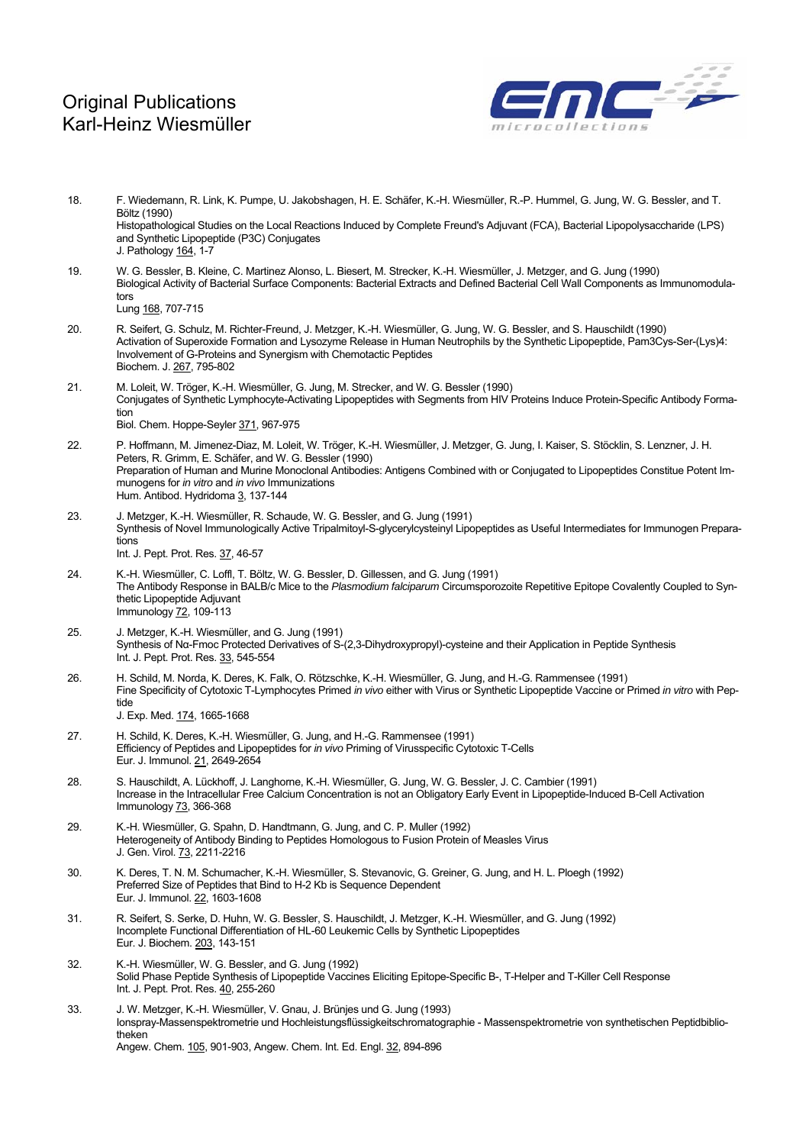

18. F. Wiedemann, R. Link, K. Pumpe, U. Jakobshagen, H. E. Schäfer, K.-H. Wiesmüller, R.-P. Hummel, G. Jung, W. G. Bessler, and T. Böltz (1990) Histopathological Studies on the Local Reactions Induced by Complete Freund's Adjuvant (FCA), Bacterial Lipopolysaccharide (LPS) and Synthetic Lipopeptide (P3C) Conjugates J. Pathology 164, 1-7 19. W. G. Bessler, B. Kleine, C. Martinez Alonso, L. Biesert, M. Strecker, K.-H. Wiesmüller, J. Metzger, and G. Jung (1990) Biological Activity of Bacterial Surface Components: Bacterial Extracts and Defined Bacterial Cell Wall Components as Immunomodulators Lung 168, 707-715 20. R. Seifert, G. Schulz, M. Richter-Freund, J. Metzger, K.-H. Wiesmüller, G. Jung, W. G. Bessler, and S. Hauschildt (1990) Activation of Superoxide Formation and Lysozyme Release in Human Neutrophils by the Synthetic Lipopeptide, Pam3Cys-Ser-(Lys)4: Involvement of G-Proteins and Synergism with Chemotactic Peptides Biochem. J. 267, 795-802 21. M. Loleit, W. Tröger, K.-H. Wiesmüller, G. Jung, M. Strecker, and W. G. Bessler (1990) Conjugates of Synthetic Lymphocyte-Activating Lipopeptides with Segments from HIV Proteins Induce Protein-Specific Antibody Formation Biol. Chem. Hoppe-Seyler 371, 967-975 22. P. Hoffmann, M. Jimenez-Diaz, M. Loleit, W. Tröger, K.-H. Wiesmüller, J. Metzger, G. Jung, I. Kaiser, S. Stöcklin, S. Lenzner, J. H. Peters, R. Grimm, E. Schäfer, and W. G. Bessler (1990) Preparation of Human and Murine Monoclonal Antibodies: Antigens Combined with or Conjugated to Lipopeptides Constitue Potent Immunogens for *in vitro* and *in vivo* Immunizations Hum. Antibod. Hydridoma 3, 137-144 23. J. Metzger, K.-H. Wiesmüller, R. Schaude, W. G. Bessler, and G. Jung (1991) Synthesis of Novel Immunologically Active Tripalmitoyl-S-glycerylcysteinyl Lipopeptides as Useful Intermediates for Immunogen Preparations Int. J. Pept. Prot. Res. 37, 46-57 24. K.-H. Wiesmüller, C. Loffl, T. Böltz, W. G. Bessler, D. Gillessen, and G. Jung (1991) The Antibody Response in BALB/c Mice to the *Plasmodium falciparum* Circumsporozoite Repetitive Epitope Covalently Coupled to Synthetic Lipopeptide Adjuvant Immunology 72, 109-113 25. J. Metzger, K.-H. Wiesmüller, and G. Jung (1991) Synthesis of Nα-Fmoc Protected Derivatives of S-(2,3-Dihydroxypropyl)-cysteine and their Application in Peptide Synthesis Int. J. Pept. Prot. Res. 33, 545-554 26. H. Schild, M. Norda, K. Deres, K. Falk, O. Rötzschke, K.-H. Wiesmüller, G. Jung, and H.-G. Rammensee (1991) Fine Specificity of Cytotoxic T-Lymphocytes Primed *in vivo* either with Virus or Synthetic Lipopeptide Vaccine or Primed *in vitro* with Peptide J. Exp. Med. 174, 1665-1668 27. H. Schild, K. Deres, K.-H. Wiesmüller, G. Jung, and H.-G. Rammensee (1991) Efficiency of Peptides and Lipopeptides for *in vivo* Priming of Virusspecific Cytotoxic T-Cells Eur. J. Immunol. 21, 2649-2654 28. S. Hauschildt, A. Lückhoff, J. Langhorne, K.-H. Wiesmüller, G. Jung, W. G. Bessler, J. C. Cambier (1991) Increase in the Intracellular Free Calcium Concentration is not an Obligatory Early Event in Lipopeptide-Induced B-Cell Activation Immunology 73, 366-368 29. K.-H. Wiesmüller, G. Spahn, D. Handtmann, G. Jung, and C. P. Muller (1992) Heterogeneity of Antibody Binding to Peptides Homologous to Fusion Protein of Measles Virus J. Gen. Virol. 73, 2211-2216 30. K. Deres, T. N. M. Schumacher, K.-H. Wiesmüller, S. Stevanovic, G. Greiner, G. Jung, and H. L. Ploegh (1992) Preferred Size of Peptides that Bind to H-2 Kb is Sequence Dependent Eur. J. Immunol. 22, 1603-1608 31. R. Seifert, S. Serke, D. Huhn, W. G. Bessler, S. Hauschildt, J. Metzger, K.-H. Wiesmüller, and G. Jung (1992) Incomplete Functional Differentiation of HL-60 Leukemic Cells by Synthetic Lipopeptides Eur. J. Biochem. 203, 143-151 32. K.-H. Wiesmüller, W. G. Bessler, and G. Jung (1992) Solid Phase Peptide Synthesis of Lipopeptide Vaccines Eliciting Epitope-Specific B-, T-Helper and T-Killer Cell Response Int. J. Pept. Prot. Res. 40, 255-260 33. J. W. Metzger, K.-H. Wiesmüller, V. Gnau, J. Brünjes und G. Jung (1993) Ionspray-Massenspektrometrie und Hochleistungsflüssigkeitschromatographie - Massenspektrometrie von synthetischen Peptidbibliotheken Angew. Chem. 105, 901-903, Angew. Chem. Int. Ed. Engl. 32, 894-896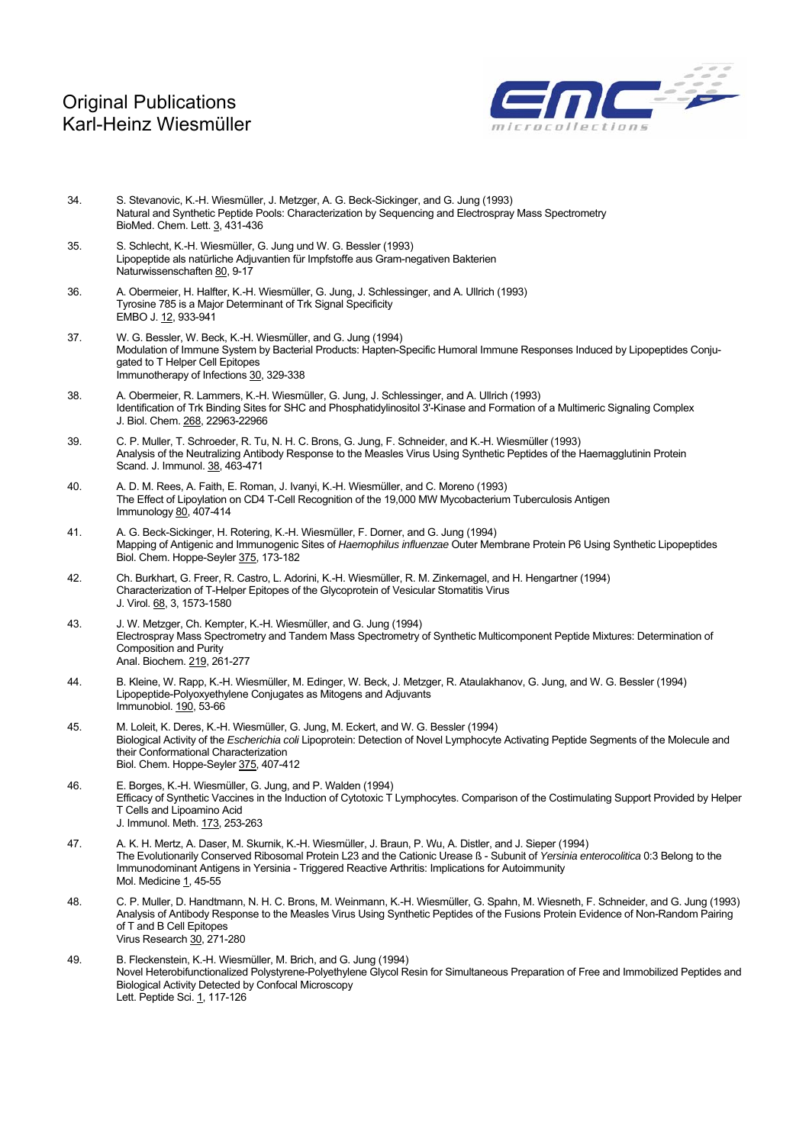

- 34. S. Stevanovic, K.-H. Wiesmüller, J. Metzger, A. G. Beck-Sickinger, and G. Jung (1993) Natural and Synthetic Peptide Pools: Characterization by Sequencing and Electrospray Mass Spectrometry BioMed. Chem. Lett. 3, 431-436
- 35. S. Schlecht, K.-H. Wiesmüller, G. Jung und W. G. Bessler (1993) Lipopeptide als natürliche Adjuvantien für Impfstoffe aus Gram-negativen Bakterien Naturwissenschaften 80, 9-17
- 36. A. Obermeier, H. Halfter, K.-H. Wiesmüller, G. Jung, J. Schlessinger, and A. Ullrich (1993) Tyrosine 785 is a Major Determinant of Trk Signal Specificity EMBO J. 12, 933-941
- 37. W. G. Bessler, W. Beck, K.-H. Wiesmüller, and G. Jung (1994) Modulation of Immune System by Bacterial Products: Hapten-Specific Humoral Immune Responses Induced by Lipopeptides Conjugated to T Helper Cell Epitopes Immunotherapy of Infections 30, 329-338
- 38. A. Obermeier, R. Lammers, K.-H. Wiesmüller, G. Jung, J. Schlessinger, and A. Ullrich (1993) Identification of Trk Binding Sites for SHC and Phosphatidylinositol 3'-Kinase and Formation of a Multimeric Signaling Complex J. Biol. Chem. 268, 22963-22966
- 39. C. P. Muller, T. Schroeder, R. Tu, N. H. C. Brons, G. Jung, F. Schneider, and K.-H. Wiesmüller (1993) Analysis of the Neutralizing Antibody Response to the Measles Virus Using Synthetic Peptides of the Haemagglutinin Protein Scand. J. Immunol. 38, 463-471
- 40. A. D. M. Rees, A. Faith, E. Roman, J. Ivanyi, K.-H. Wiesmüller, and C. Moreno (1993) The Effect of Lipoylation on CD4 T-Cell Recognition of the 19,000 MW Mycobacterium Tuberculosis Antigen Immunology 80, 407-414
- 41. A. G. Beck-Sickinger, H. Rotering, K.-H. Wiesmüller, F. Dorner, and G. Jung (1994) Mapping of Antigenic and Immunogenic Sites of *Haemophilus influenzae* Outer Membrane Protein P6 Using Synthetic Lipopeptides Biol. Chem. Hoppe-Seyler 375, 173-182
- 42. Ch. Burkhart, G. Freer, R. Castro, L. Adorini, K.-H. Wiesmüller, R. M. Zinkernagel, and H. Hengartner (1994) Characterization of T-Helper Epitopes of the Glycoprotein of Vesicular Stomatitis Virus J. Virol. 68, 3, 1573-1580
- 43. J. W. Metzger, Ch. Kempter, K.-H. Wiesmüller, and G. Jung (1994) Electrospray Mass Spectrometry and Tandem Mass Spectrometry of Synthetic Multicomponent Peptide Mixtures: Determination of Composition and Purity Anal. Biochem. 219, 261-277
- 44. B. Kleine, W. Rapp, K.-H. Wiesmüller, M. Edinger, W. Beck, J. Metzger, R. Ataulakhanov, G. Jung, and W. G. Bessler (1994) Lipopeptide-Polyoxyethylene Conjugates as Mitogens and Adjuvants Immunobiol. 190, 53-66
- 45. M. Loleit, K. Deres, K.-H. Wiesmüller, G. Jung, M. Eckert, and W. G. Bessler (1994) Biological Activity of the *Escherichia coli* Lipoprotein: Detection of Novel Lymphocyte Activating Peptide Segments of the Molecule and their Conformational Characterization Biol. Chem. Hoppe-Seyler 375, 407-412
- 46. E. Borges, K.-H. Wiesmüller, G. Jung, and P. Walden (1994) Efficacy of Synthetic Vaccines in the Induction of Cytotoxic T Lymphocytes. Comparison of the Costimulating Support Provided by Helper T Cells and Lipoamino Acid J. Immunol. Meth. 173, 253-263
- 47. A. K. H. Mertz, A. Daser, M. Skurnik, K.-H. Wiesmüller, J. Braun, P. Wu, A. Distler, and J. Sieper (1994) The Evolutionarily Conserved Ribosomal Protein L23 and the Cationic Urease ß - Subunit of *Yersinia enterocolitica* 0:3 Belong to the Immunodominant Antigens in Yersinia - Triggered Reactive Arthritis: Implications for Autoimmunity Mol. Medicine 1, 45-55
- 48. C. P. Muller, D. Handtmann, N. H. C. Brons, M. Weinmann, K.-H. Wiesmüller, G. Spahn, M. Wiesneth, F. Schneider, and G. Jung (1993) Analysis of Antibody Response to the Measles Virus Using Synthetic Peptides of the Fusions Protein Evidence of Non-Random Pairing of T and B Cell Epitopes Virus Research 30, 271-280
- 49. B. Fleckenstein, K.-H. Wiesmüller, M. Brich, and G. Jung (1994) Novel Heterobifunctionalized Polystyrene-Polyethylene Glycol Resin for Simultaneous Preparation of Free and Immobilized Peptides and Biological Activity Detected by Confocal Microscopy Lett. Peptide Sci. 1, 117-126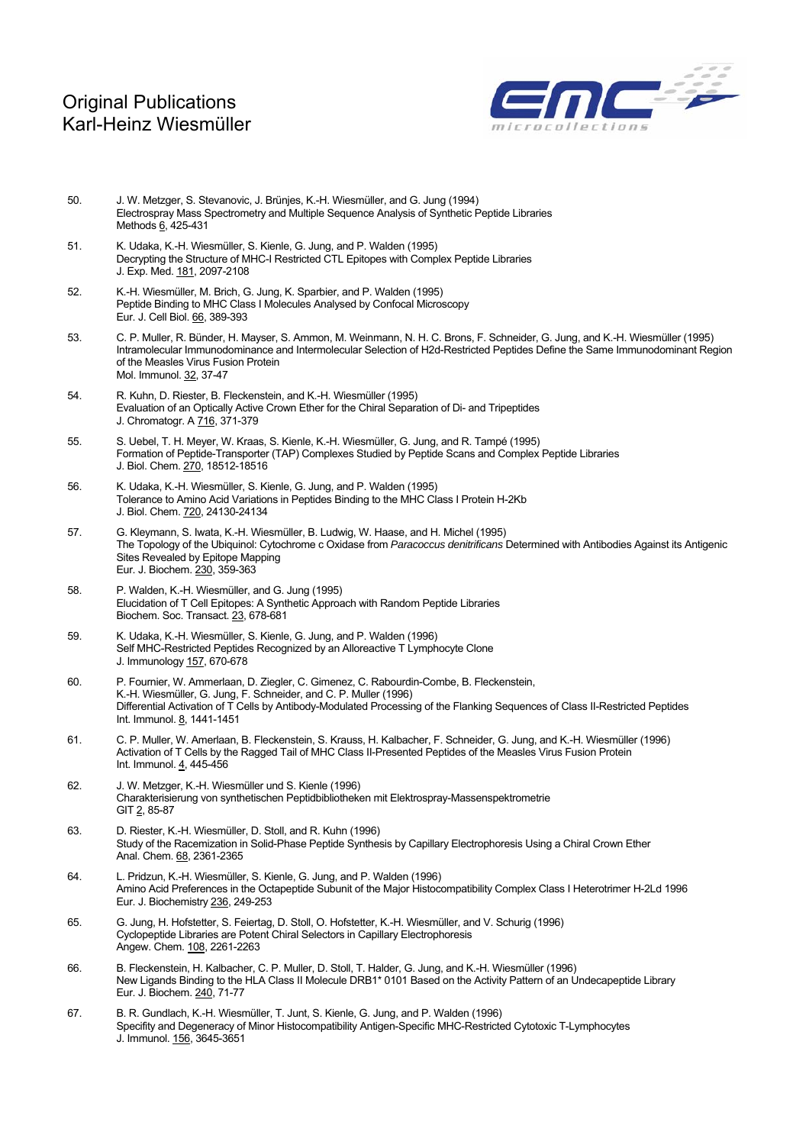

- 50. J. W. Metzger, S. Stevanovic, J. Brünjes, K.-H. Wiesmüller, and G. Jung (1994) Electrospray Mass Spectrometry and Multiple Sequence Analysis of Synthetic Peptide Libraries Methods 6, 425-431
- 51. K. Udaka, K.-H. Wiesmüller, S. Kienle, G. Jung, and P. Walden (1995) Decrypting the Structure of MHC-I Restricted CTL Epitopes with Complex Peptide Libraries J. Exp. Med. 181, 2097-2108
- 52. K.-H. Wiesmüller, M. Brich, G. Jung, K. Sparbier, and P. Walden (1995) Peptide Binding to MHC Class I Molecules Analysed by Confocal Microscopy Eur. J. Cell Biol. 66, 389-393
- 53. C. P. Muller, R. Bünder, H. Mayser, S. Ammon, M. Weinmann, N. H. C. Brons, F. Schneider, G. Jung, and K.-H. Wiesmüller (1995) Intramolecular Immunodominance and Intermolecular Selection of H2d-Restricted Peptides Define the Same Immunodominant Region of the Measles Virus Fusion Protein Mol. Immunol. 32, 37-47
- 54. R. Kuhn, D. Riester, B. Fleckenstein, and K.-H. Wiesmüller (1995) Evaluation of an Optically Active Crown Ether for the Chiral Separation of Di- and Tripeptides J. Chromatogr. A 716, 371-379
- 55. S. Uebel, T. H. Meyer, W. Kraas, S. Kienle, K.-H. Wiesmüller, G. Jung, and R. Tampé (1995) Formation of Peptide-Transporter (TAP) Complexes Studied by Peptide Scans and Complex Peptide Libraries J. Biol. Chem. 270, 18512-18516
- 56. K. Udaka, K.-H. Wiesmüller, S. Kienle, G. Jung, and P. Walden (1995) Tolerance to Amino Acid Variations in Peptides Binding to the MHC Class I Protein H-2Kb J. Biol. Chem. 720, 24130-24134
- 57. G. Kleymann, S. Iwata, K.-H. Wiesmüller, B. Ludwig, W. Haase, and H. Michel (1995) The Topology of the Ubiquinol: Cytochrome c Oxidase from *Paracoccus denitrificans* Determined with Antibodies Against its Antigenic Sites Revealed by Epitope Mapping Eur. J. Biochem. 230, 359-363
- 58. P. Walden, K.-H. Wiesmüller, and G. Jung (1995) Elucidation of T Cell Epitopes: A Synthetic Approach with Random Peptide Libraries Biochem. Soc. Transact. 23, 678-681
- 59. K. Udaka, K.-H. Wiesmüller, S. Kienle, G. Jung, and P. Walden (1996) Self MHC-Restricted Peptides Recognized by an Alloreactive T Lymphocyte Clone J. Immunology 157, 670-678
- 60. P. Fournier, W. Ammerlaan, D. Ziegler, C. Gimenez, C. Rabourdin-Combe, B. Fleckenstein, K.-H. Wiesmüller, G. Jung, F. Schneider, and C. P. Muller (1996) Differential Activation of T Cells by Antibody-Modulated Processing of the Flanking Sequences of Class II-Restricted Peptides Int. Immunol. 8, 1441-1451
- 61. C. P. Muller, W. Amerlaan, B. Fleckenstein, S. Krauss, H. Kalbacher, F. Schneider, G. Jung, and K.-H. Wiesmüller (1996) Activation of T Cells by the Ragged Tail of MHC Class II-Presented Peptides of the Measles Virus Fusion Protein Int. Immunol.  $4,445-456$
- 62. J. W. Metzger, K.-H. Wiesmüller und S. Kienle (1996) Charakterisierung von synthetischen Peptidbibliotheken mit Elektrospray-Massenspektrometrie GIT 2, 85-87
- 63. D. Riester, K.-H. Wiesmüller, D. Stoll, and R. Kuhn (1996) Study of the Racemization in Solid-Phase Peptide Synthesis by Capillary Electrophoresis Using a Chiral Crown Ether Anal. Chem. 68, 2361-2365
- 64. L. Pridzun, K.-H. Wiesmüller, S. Kienle, G. Jung, and P. Walden (1996) Amino Acid Preferences in the Octapeptide Subunit of the Major Histocompatibility Complex Class I Heterotrimer H-2Ld 1996 Eur. J. Biochemistry 236, 249-253
- 65. G. Jung, H. Hofstetter, S. Feiertag, D. Stoll, O. Hofstetter, K.-H. Wiesmüller, and V. Schurig (1996) Cyclopeptide Libraries are Potent Chiral Selectors in Capillary Electrophoresis Angew. Chem. 108, 2261-2263
- 66. B. Fleckenstein, H. Kalbacher, C. P. Muller, D. Stoll, T. Halder, G. Jung, and K.-H. Wiesmüller (1996) New Ligands Binding to the HLA Class II Molecule DRB1\* 0101 Based on the Activity Pattern of an Undecapeptide Library Eur. J. Biochem. 240, 71-77
- 67. B. R. Gundlach, K.-H. Wiesmüller, T. Junt, S. Kienle, G. Jung, and P. Walden (1996) Specifity and Degeneracy of Minor Histocompatibility Antigen-Specific MHC-Restricted Cytotoxic T-Lymphocytes J. Immunol. 156, 3645-3651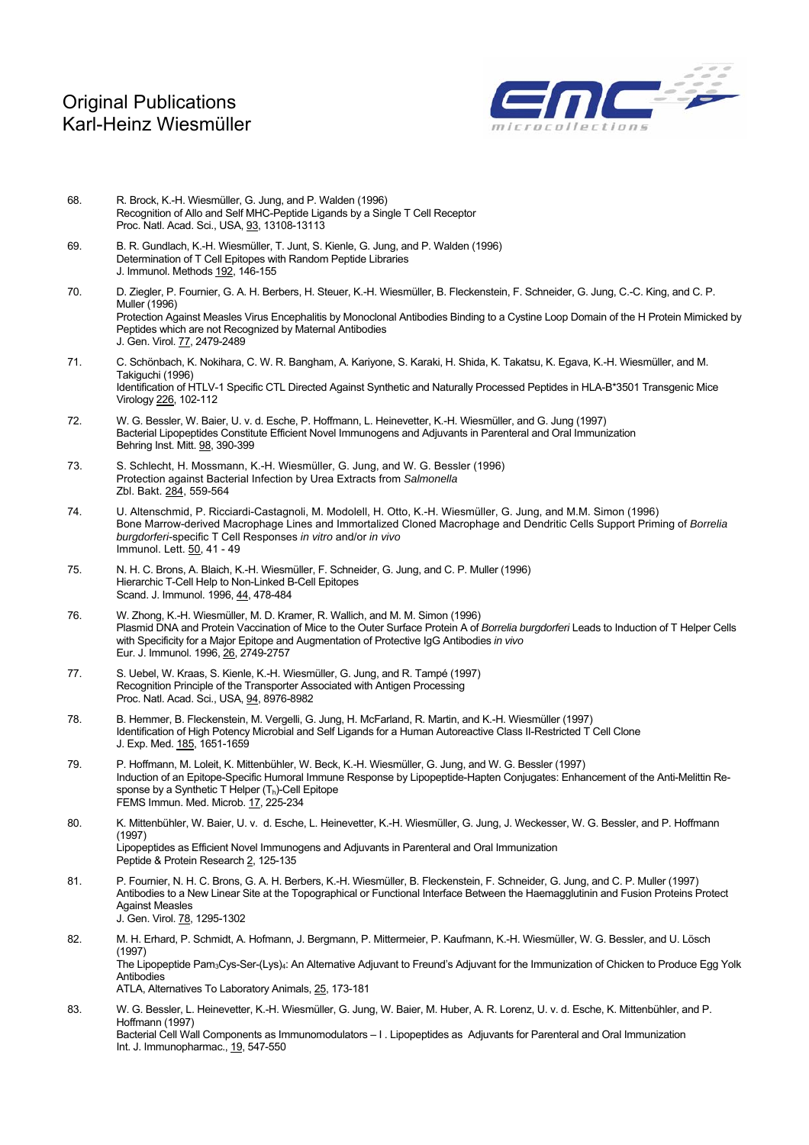

- 68. R. Brock, K.-H. Wiesmüller, G. Jung, and P. Walden (1996) Recognition of Allo and Self MHC-Peptide Ligands by a Single T Cell Receptor Proc. Natl. Acad. Sci., USA, 93, 13108-13113
- 69. B. R. Gundlach, K.-H. Wiesmüller, T. Junt, S. Kienle, G. Jung, and P. Walden (1996) Determination of T Cell Epitopes with Random Peptide Libraries J. Immunol. Methods 192, 146-155
- 70. D. Ziegler, P. Fournier, G. A. H. Berbers, H. Steuer, K.-H. Wiesmüller, B. Fleckenstein, F. Schneider, G. Jung, C.-C. King, and C. P. Muller (1996) Protection Against Measles Virus Encephalitis by Monoclonal Antibodies Binding to a Cystine Loop Domain of the H Protein Mimicked by Peptides which are not Recognized by Maternal Antibodies J. Gen. Virol. 77, 2479-2489
- 71. C. Schönbach, K. Nokihara, C. W. R. Bangham, A. Kariyone, S. Karaki, H. Shida, K. Takatsu, K. Egava, K.-H. Wiesmüller, and M. Takiguchi (1996) Identification of HTLV-1 Specific CTL Directed Against Synthetic and Naturally Processed Peptides in HLA-B\*3501 Transgenic Mice Virology 226, 102-112
- 72. W. G. Bessler, W. Baier, U. v. d. Esche, P. Hoffmann, L. Heinevetter, K.-H. Wiesmüller, and G. Jung (1997) Bacterial Lipopeptides Constitute Efficient Novel Immunogens and Adjuvants in Parenteral and Oral Immunization Behring Inst. Mitt. 98, 390-399
- 73. S. Schlecht, H. Mossmann, K.-H. Wiesmüller, G. Jung, and W. G. Bessler (1996) Protection against Bacterial Infection by Urea Extracts from *Salmonella*  Zbl. Bakt. 284, 559-564
- 74. U. Altenschmid, P. Ricciardi-Castagnoli, M. Modolell, H. Otto, K.-H. Wiesmüller, G. Jung, and M.M. Simon (1996) Bone Marrow-derived Macrophage Lines and Immortalized Cloned Macrophage and Dendritic Cells Support Priming of *Borrelia burgdorferi*-specific T Cell Responses *in vitro* and/or *in vivo* Immunol. Lett. 50, 41 - 49
- 75. N. H. C. Brons, A. Blaich, K.-H. Wiesmüller, F. Schneider, G. Jung, and C. P. Muller (1996) Hierarchic T-Cell Help to Non-Linked B-Cell Epitopes Scand. J. Immunol. 1996, 44, 478-484
- 76. W. Zhong, K.-H. Wiesmüller, M. D. Kramer, R. Wallich, and M. M. Simon (1996) Plasmid DNA and Protein Vaccination of Mice to the Outer Surface Protein A of *Borrelia burgdorferi* Leads to Induction of T Helper Cells with Specificity for a Major Epitope and Augmentation of Protective IgG Antibodies *in vivo*  Eur. J. Immunol. 1996, 26, 2749-2757
- 77. S. Uebel, W. Kraas, S. Kienle, K.-H. Wiesmüller, G. Jung, and R. Tampé (1997) Recognition Principle of the Transporter Associated with Antigen Processing Proc. Natl. Acad. Sci., USA, 94, 8976-8982
- 78. B. Hemmer, B. Fleckenstein, M. Vergelli, G. Jung, H. McFarland, R. Martin, and K.-H. Wiesmüller (1997) Identification of High Potency Microbial and Self Ligands for a Human Autoreactive Class II-Restricted T Cell Clone J. Exp. Med. 185, 1651-1659
- 79. P. Hoffmann, M. Loleit, K. Mittenbühler, W. Beck, K.-H. Wiesmüller, G. Jung, and W. G. Bessler (1997) Induction of an Epitope-Specific Humoral Immune Response by Lipopeptide-Hapten Conjugates: Enhancement of the Anti-Melittin Response by a Synthetic T Helper  $(T_h)$ -Cell Epitope FEMS Immun. Med. Microb. 17, 225-234
- 80. K. Mittenbühler, W. Baier, U. v. d. Esche, L. Heinevetter, K.-H. Wiesmüller, G. Jung, J. Weckesser, W. G. Bessler, and P. Hoffmann (1997) Lipopeptides as Efficient Novel Immunogens and Adjuvants in Parenteral and Oral Immunization Peptide & Protein Research 2, 125-135
- 81. P. Fournier, N. H. C. Brons, G. A. H. Berbers, K.-H. Wiesmüller, B. Fleckenstein, F. Schneider, G. Jung, and C. P. Muller (1997) Antibodies to a New Linear Site at the Topographical or Functional Interface Between the Haemagglutinin and Fusion Proteins Protect Against Measles J. Gen. Virol. 78, 1295-1302
- 82. M. H. Erhard, P. Schmidt, A. Hofmann, J. Bergmann, P. Mittermeier, P. Kaufmann, K.-H. Wiesmüller, W. G. Bessler, and U. Lösch (1997) The Lipopeptide Pam<sub>3</sub>Cys-Ser-(Lys)<sub>4</sub>: An Alternative Adjuvant to Freund's Adjuvant for the Immunization of Chicken to Produce Egg Yolk Antibodies ATLA, Alternatives To Laboratory Animals, 25, 173-181
- 83. W. G. Bessler, L. Heinevetter, K.-H. Wiesmüller, G. Jung, W. Baier, M. Huber, A. R. Lorenz, U. v. d. Esche, K. Mittenbühler, and P. Hoffmann (1997) Bacterial Cell Wall Components as Immunomodulators – I . Lipopeptides as Adjuvants for Parenteral and Oral Immunization Int. J. Immunopharmac., 19, 547-550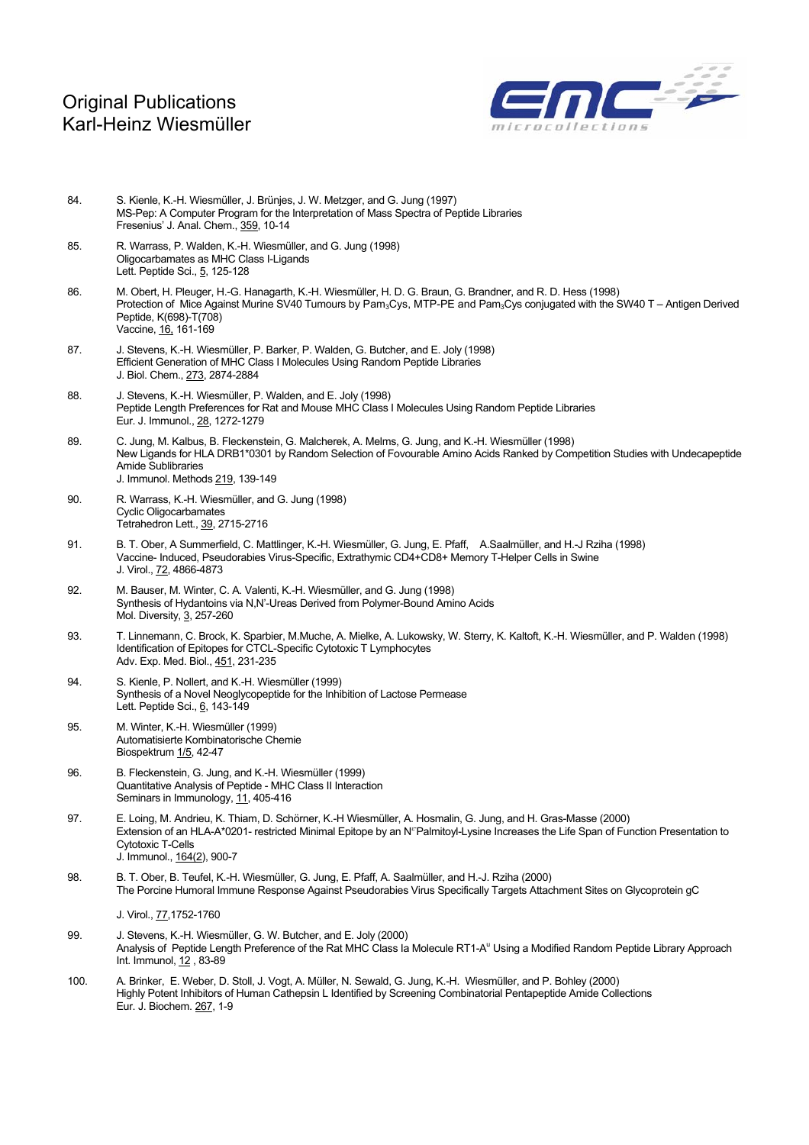

- 84. S. Kienle, K.-H. Wiesmüller, J. Brünjes, J. W. Metzger, and G. Jung (1997) MS-Pep: A Computer Program for the Interpretation of Mass Spectra of Peptide Libraries Fresenius' J. Anal. Chem., 359, 10-14
- 85. R. Warrass, P. Walden, K.-H. Wiesmüller, and G. Jung (1998) Oligocarbamates as MHC Class I-Ligands Lett. Peptide Sci., 5, 125-128
- 86. M. Obert, H. Pleuger, H.-G. Hanagarth, K.-H. Wiesmüller, H. D. G. Braun, G. Brandner, and R. D. Hess (1998) Protection of Mice Against Murine SV40 Tumours by Pam<sub>3</sub>Cys, MTP-PE and Pam<sub>3</sub>Cys conjugated with the SW40 T – Antigen Derived Peptide, K(698)-T(708) Vaccine, 16, 161-169
- 87. J. Stevens, K.-H. Wiesmüller, P. Barker, P. Walden, G. Butcher, and E. Joly (1998) Efficient Generation of MHC Class I Molecules Using Random Peptide Libraries J. Biol. Chem., 273, 2874-2884
- 88. J. Stevens, K.-H. Wiesmüller, P. Walden, and E. Joly (1998) Peptide Length Preferences for Rat and Mouse MHC Class I Molecules Using Random Peptide Libraries Eur. J. Immunol., 28, 1272-1279
- 89. C. Jung, M. Kalbus, B. Fleckenstein, G. Malcherek, A. Melms, G. Jung, and K.-H. Wiesmüller (1998) New Ligands for HLA DRB1\*0301 by Random Selection of Fovourable Amino Acids Ranked by Competition Studies with Undecapeptide Amide Sublibraries J. Immunol. Methods 219, 139-149
- 90. R. Warrass, K.-H. Wiesmüller, and G. Jung (1998) Cyclic Oligocarbamates Tetrahedron Lett., 39, 2715-2716
- 91. B. T. Ober, A Summerfield, C. Mattlinger, K.-H. Wiesmüller, G. Jung, E. Pfaff, A.Saalmüller, and H.-J Rziha (1998) Vaccine- Induced, Pseudorabies Virus-Specific, Extrathymic CD4+CD8+ Memory T-Helper Cells in Swine J. Virol., 72, 4866-4873
- 92. M. Bauser, M. Winter, C. A. Valenti, K.-H. Wiesmüller, and G. Jung (1998) Synthesis of Hydantoins via N,N'-Ureas Derived from Polymer-Bound Amino Acids Mol. Diversity, 3, 257-260
- 93. T. Linnemann, C. Brock, K. Sparbier, M.Muche, A. Mielke, A. Lukowsky, W. Sterry, K. Kaltoft, K.-H. Wiesmüller, and P. Walden (1998) Identification of Epitopes for CTCL-Specific Cytotoxic T Lymphocytes Adv. Exp. Med. Biol., 451, 231-235
- 94. S. Kienle, P. Nollert, and K.-H. Wiesmüller (1999) Synthesis of a Novel Neoglycopeptide for the Inhibition of Lactose Permease Lett. Peptide Sci., 6, 143-149
- 95. M. Winter, K.-H. Wiesmüller (1999) Automatisierte Kombinatorische Chemie Biospektrum 1/5, 42-47
- 96. B. Fleckenstein, G. Jung, and K.-H. Wiesmüller (1999) Quantitative Analysis of Peptide - MHC Class II Interaction Seminars in Immunology, 11, 405-416
- 97. E. Loing, M. Andrieu, K. Thiam, D. Schörner, K.-H Wiesmüller, A. Hosmalin, G. Jung, and H. Gras-Masse (2000) Extension of an HLA-A\*0201- restricted Minimal Epitope by an N<sup>®</sup>Palmitoyl-Lysine Increases the Life Span of Function Presentation to Cytotoxic T-Cells J. Immunol., 164(2), 900-7
- 98. B. T. Ober, B. Teufel, K.-H. Wiesmüller, G. Jung, E. Pfaff, A. Saalmüller, and H.-J. Rziha (2000) The Porcine Humoral Immune Response Against Pseudorabies Virus Specifically Targets Attachment Sites on Glycoprotein gC

J. Virol., 77,1752-1760

- 99. J. Stevens, K.-H. Wiesmüller, G. W. Butcher, and E. Joly (2000) Analysis of Peptide Length Preference of the Rat MHC Class Ia Molecule RT1-A<sup>u</sup> Using a Modified Random Peptide Library Approach Int. Immunol, 12 , 83-89
- 100. A. Brinker, E. Weber, D. Stoll, J. Vogt, A. Müller, N. Sewald, G. Jung, K.-H. Wiesmüller, and P. Bohley (2000) Highly Potent Inhibitors of Human Cathepsin L Identified by Screening Combinatorial Pentapeptide Amide Collections Eur. J. Biochem. 267, 1-9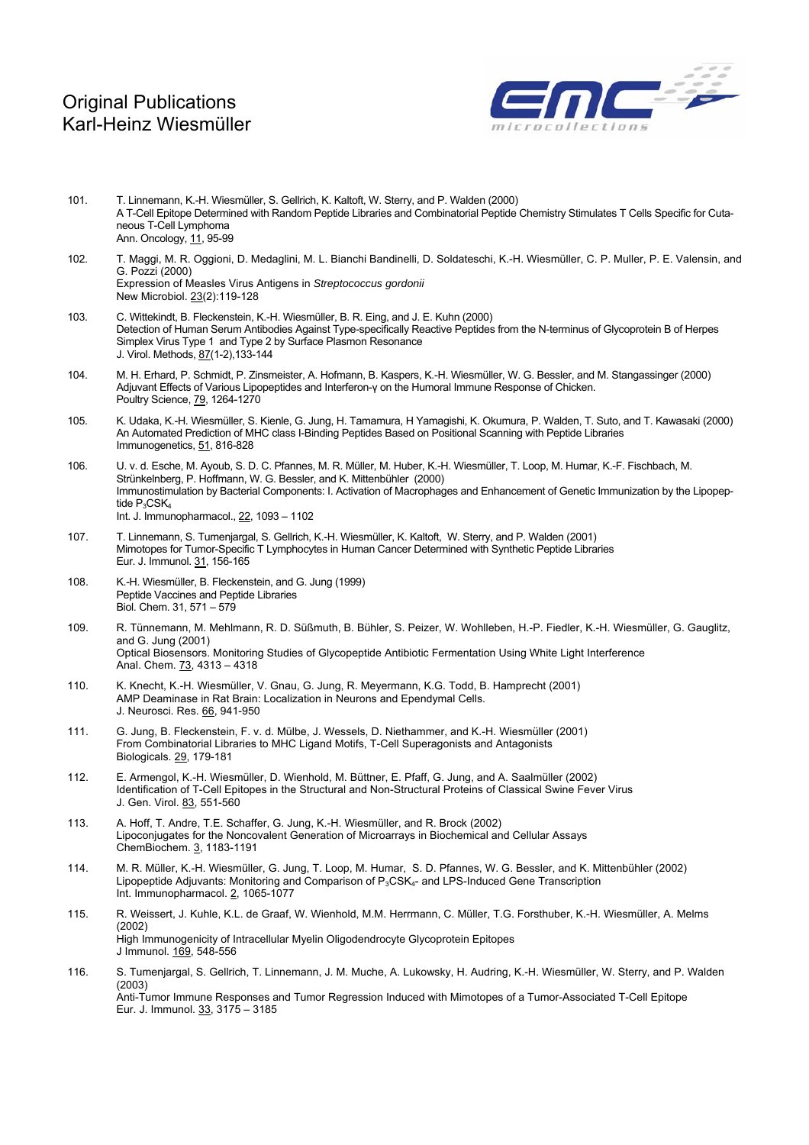

- 101. T. Linnemann, K.-H. Wiesmüller, S. Gellrich, K. Kaltoft, W. Sterry, and P. Walden (2000) A T-Cell Epitope Determined with Random Peptide Libraries and Combinatorial Peptide Chemistry Stimulates T Cells Specific for Cutaneous T-Cell Lymphoma Ann. Oncology, 11, 95-99
- 102. T. Maggi, M. R. Oggioni, D. Medaglini, M. L. Bianchi Bandinelli, D. Soldateschi, K.-H. Wiesmüller, C. P. Muller, P. E. Valensin, and G. Pozzi (2000) Expression of Measles Virus Antigens in *Streptococcus gordonii* New Microbiol. 23(2):119-128
- 103. C. Wittekindt, B. Fleckenstein, K.-H. Wiesmüller, B. R. Eing, and J. E. Kuhn (2000) Detection of Human Serum Antibodies Against Type-specifically Reactive Peptides from the N-terminus of Glycoprotein B of Herpes Simplex Virus Type 1 and Type 2 by Surface Plasmon Resonance J. Virol. Methods, 87(1-2),133-144
- 104. M. H. Erhard, P. Schmidt, P. Zinsmeister, A. Hofmann, B. Kaspers, K.-H. Wiesmüller, W. G. Bessler, and M. Stangassinger (2000) Adjuvant Effects of Various Lipopeptides and Interferon-γ on the Humoral Immune Response of Chicken. Poultry Science, 79, 1264-1270
- 105. K. Udaka, K.-H. Wiesmüller, S. Kienle, G. Jung, H. Tamamura, H Yamagishi, K. Okumura, P. Walden, T. Suto, and T. Kawasaki (2000) An Automated Prediction of MHC class I-Binding Peptides Based on Positional Scanning with Peptide Libraries Immunogenetics, 51, 816-828
- 106. U. v. d. Esche, M. Ayoub, S. D. C. Pfannes, M. R. Müller, M. Huber, K.-H. Wiesmüller, T. Loop, M. Humar, K.-F. Fischbach, M. Strünkelnberg, P. Hoffmann, W. G. Bessler, and K. Mittenbühler (2000) Immunostimulation by Bacterial Components: I. Activation of Macrophages and Enhancement of Genetic Immunization by the Lipopeptide P<sub>3</sub>CSK<sub>4</sub> Int. J. Immunopharmacol., 22, 1093 – 1102
- 107. T. Linnemann, S. Tumenjargal, S. Gellrich, K.-H. Wiesmüller, K. Kaltoft, W. Sterry, and P. Walden (2001) Mimotopes for Tumor-Specific T Lymphocytes in Human Cancer Determined with Synthetic Peptide Libraries Eur. J. Immunol. 31, 156-165
- 108. K.-H. Wiesmüller, B. Fleckenstein, and G. Jung (1999) Peptide Vaccines and Peptide Libraries Biol. Chem. 31, 571 – 579
- 109. R. Tünnemann, M. Mehlmann, R. D. Süßmuth, B. Bühler, S. Peizer, W. Wohlleben, H.-P. Fiedler, K.-H. Wiesmüller, G. Gauglitz, and G. Jung (2001) Optical Biosensors. Monitoring Studies of Glycopeptide Antibiotic Fermentation Using White Light Interference Anal. Chem. 73, 4313 – 4318
- 110. K. Knecht, K.-H. Wiesmüller, V. Gnau, G. Jung, R. Meyermann, K.G. Todd, B. Hamprecht (2001) AMP Deaminase in Rat Brain: Localization in Neurons and Ependymal Cells. J. Neurosci. Res. 66, 941-950
- 111. G. Jung, B. Fleckenstein, F. v. d. Mülbe, J. Wessels, D. Niethammer, and K.-H. Wiesmüller (2001) From Combinatorial Libraries to MHC Ligand Motifs, T-Cell Superagonists and Antagonists Biologicals. 29, 179-181
- 112. E. Armengol, K.-H. Wiesmüller, D. Wienhold, M. Büttner, E. Pfaff, G. Jung, and A. Saalmüller (2002) Identification of T-Cell Epitopes in the Structural and Non-Structural Proteins of Classical Swine Fever Virus J. Gen. Virol. 83, 551-560
- 113. A. Hoff, T. Andre, T.E. Schaffer, G. Jung, K.-H. Wiesmüller, and R. Brock (2002) Lipoconjugates for the Noncovalent Generation of Microarrays in Biochemical and Cellular Assays ChemBiochem. 3, 1183-1191
- 114. M. R. Müller, K.-H. Wiesmüller, G. Jung, T. Loop, M. Humar, S. D. Pfannes, W. G. Bessler, and K. Mittenbühler (2002) Lipopeptide Adjuvants: Monitoring and Comparison of P<sub>3</sub>CSK<sub>4</sub>- and LPS-Induced Gene Transcription Int. Immunopharmacol. 2, 1065-1077
- 115. R. Weissert, J. Kuhle, K.L. de Graaf, W. Wienhold, M.M. Herrmann, C. Müller, T.G. Forsthuber, K.-H. Wiesmüller, A. Melms (2002) High Immunogenicity of Intracellular Myelin Oligodendrocyte Glycoprotein Epitopes J Immunol. 169, 548-556
- 116. S. Tumenjargal, S. Gellrich, T. Linnemann, J. M. Muche, A. Lukowsky, H. Audring, K.-H. Wiesmüller, W. Sterry, and P. Walden (2003) Anti-Tumor Immune Responses and Tumor Regression Induced with Mimotopes of a Tumor-Associated T-Cell Epitope Eur. J. Immunol. 33, 3175 – 3185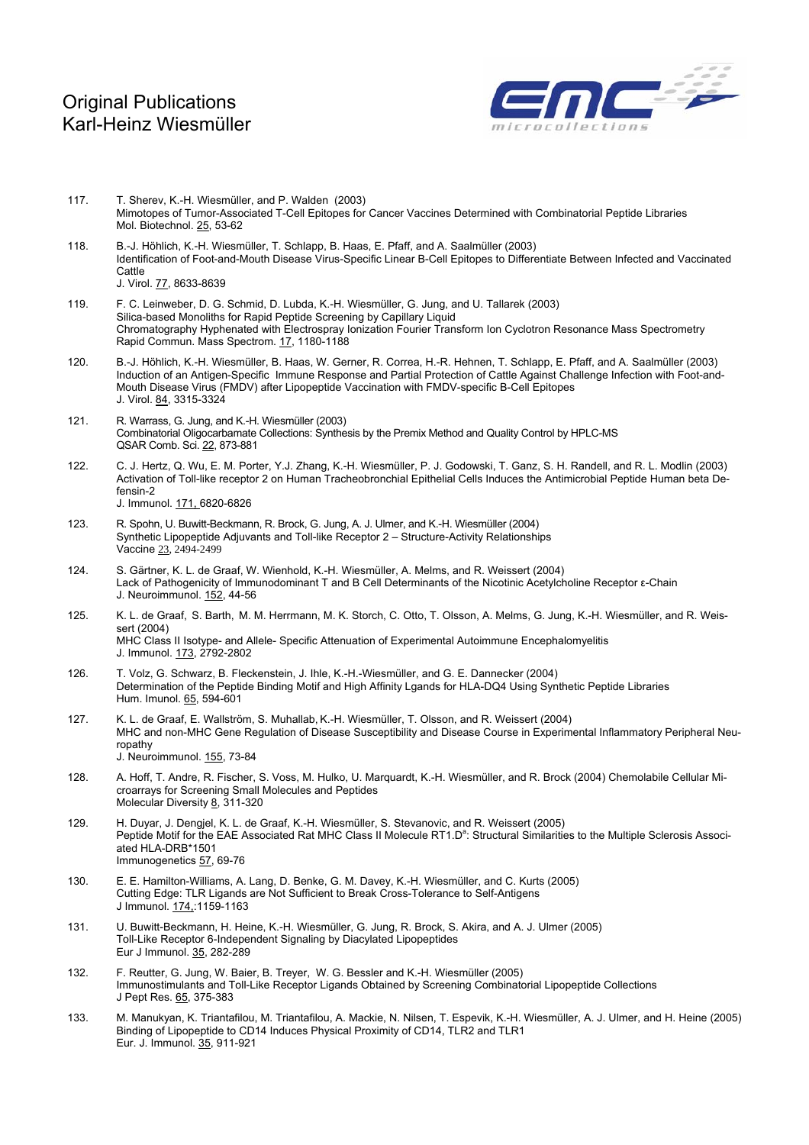

- 117. T. Sherev, K.-H. Wiesmüller, and P. Walden (2003) Mimotopes of Tumor-Associated T-Cell Epitopes for Cancer Vaccines Determined with Combinatorial Peptide Libraries Mol. Biotechnol. 25, 53-62
- 118. B.-J. Höhlich, K.-H. Wiesmüller, T. Schlapp, B. Haas, E. Pfaff, and A. Saalmüller (2003) Identification of Foot-and-Mouth Disease Virus-Specific Linear B-Cell Epitopes to Differentiate Between Infected and Vaccinated **Cattle** J. Virol. 77, 8633-8639
- 119. F. C. Leinweber, D. G. Schmid, D. Lubda, K.-H. Wiesmüller, G. Jung, and U. Tallarek (2003) Silica-based Monoliths for Rapid Peptide Screening by Capillary Liquid Chromatography Hyphenated with Electrospray Ionization Fourier Transform Ion Cyclotron Resonance Mass Spectrometry Rapid Commun. Mass Spectrom. 17, 1180-1188
- 120. B.-J. Höhlich, K.-H. Wiesmüller, B. Haas, W. Gerner, R. Correa, H.-R. Hehnen, T. Schlapp, E. Pfaff, and A. Saalmüller (2003) Induction of an Antigen-Specific Immune Response and Partial Protection of Cattle Against Challenge Infection with Foot-and-Mouth Disease Virus (FMDV) after Lipopeptide Vaccination with FMDV-specific B-Cell Epitopes J. Virol. 84, 3315-3324
- 121. R. Warrass, G. Jung, and K.-H. Wiesmüller (2003) Combinatorial Oligocarbamate Collections: Synthesis by the Premix Method and Quality Control by HPLC-MS QSAR Comb. Sci. 22, 873-881
- 122. C. J. Hertz, Q. Wu, E. M. Porter, Y.J. Zhang, K.-H. Wiesmüller, P. J. Godowski, T. Ganz, S. H. Randell, and R. L. Modlin (2003) Activation of Toll-like receptor 2 on Human Tracheobronchial Epithelial Cells Induces the Antimicrobial Peptide Human beta Defensin-2 J. Immunol. 171, 6820-6826
- 123. R. Spohn, U. Buwitt-Beckmann, R. Brock, G. Jung, A. J. Ulmer, and K.-H. Wiesmüller (2004) Synthetic Lipopeptide Adjuvants and Toll-like Receptor 2 – Structure-Activity Relationships Vaccine 23, 2494-2499
- 124. S. Gärtner, K. L. de Graaf, W. Wienhold, K.-H. Wiesmüller, A. Melms, and R. Weissert (2004) Lack of Pathogenicity of Immunodominant T and B Cell Determinants of the Nicotinic Acetylcholine Receptor ε-Chain J. Neuroimmunol. 152, 44-56
- 125. K. L. de Graaf, S. Barth, M. M. Herrmann, M. K. Storch, C. Otto, T. Olsson, A. Melms, G. Jung, K.-H. Wiesmüller, and R. Weissert (2004) MHC Class II Isotype- and Allele- Specific Attenuation of Experimental Autoimmune Encephalomyelitis J. Immunol. 173, 2792-2802
- 126. T. Volz, G. Schwarz, B. Fleckenstein, J. Ihle, K.-H.-Wiesmüller, and G. E. Dannecker (2004) Determination of the Peptide Binding Motif and High Affinity Lgands for HLA-DQ4 Using Synthetic Peptide Libraries Hum. Imunol. 65, 594-601
- 127. K. L. de Graaf, E. Wallström, S. Muhallab, K.-H. Wiesmüller, T. Olsson, and R. Weissert (2004) MHC and non-MHC Gene Regulation of Disease Susceptibility and Disease Course in Experimental Inflammatory Peripheral Neuropathy J. Neuroimmunol. 155, 73-84
- 128. A. Hoff, T. Andre, R. Fischer, S. Voss, M. Hulko, U. Marquardt, K.-H. Wiesmüller, and R. Brock (2004) Chemolabile Cellular Microarrays for Screening Small Molecules and Peptides Molecular Diversity 8, 311-320
- 129. H. Duyar, J. Dengjel, K. L. de Graaf, K.-H. Wiesmüller, S. Stevanovic, and R. Weissert (2005) Peptide Motif for the EAE Associated Rat MHC Class II Molecule RT1.D<sup>a</sup>: Structural Similarities to the Multiple Sclerosis Associated HLA-DRB\*1501 Immunogenetics 57, 69-76
- 130. E. E. Hamilton-Williams, A. Lang, D. Benke, G. M. Davey, K.-H. Wiesmüller, and C. Kurts (2005) Cutting Edge: TLR Ligands are Not Sufficient to Break Cross-Tolerance to Self-Antigens J Immunol. 174,:1159-1163
- 131. U. Buwitt-Beckmann, H. Heine, K.-H. Wiesmüller, G. Jung, R. Brock, S. Akira, and A. J. Ulmer (2005) Toll-Like Receptor 6-Independent Signaling by Diacylated Lipopeptides Eur J Immunol. 35, 282-289
- 132. F. Reutter, G. Jung, W. Baier, B. Treyer, W. G. Bessler and K.-H. Wiesmüller (2005) Immunostimulants and Toll-Like Receptor Ligands Obtained by Screening Combinatorial Lipopeptide Collections J Pept Res. 65, 375-383
- 133. M. Manukyan, K. Triantafilou, M. Triantafilou, A. Mackie, N. Nilsen, T. Espevik, K.-H. Wiesmüller, A. J. Ulmer, and H. Heine (2005) Binding of Lipopeptide to CD14 Induces Physical Proximity of CD14, TLR2 and TLR1 Eur. J. Immunol. 35, 911-921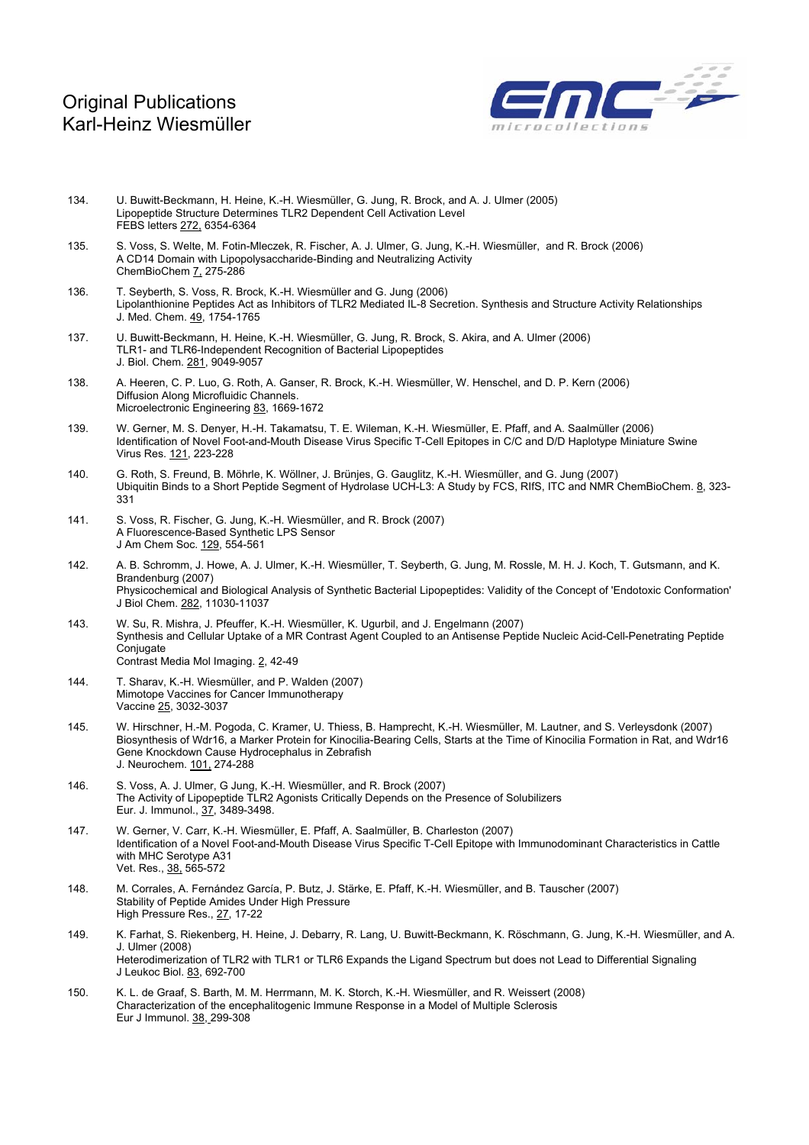

- 134. U. Buwitt-Beckmann, H. Heine, K.-H. Wiesmüller, G. Jung, R. Brock, and A. J. Ulmer (2005) Lipopeptide Structure Determines TLR2 Dependent Cell Activation Level FEBS letters 272, 6354-6364
- 135. S. Voss, S. Welte, M. Fotin-Mleczek, R. Fischer, A. J. Ulmer, G. Jung, K.-H. Wiesmüller, and R. Brock (2006) A CD14 Domain with Lipopolysaccharide-Binding and Neutralizing Activity ChemBioChem 7, 275-286
- 136. T. Seyberth, S. Voss, R. Brock, K.-H. Wiesmüller and G. Jung (2006) Lipolanthionine Peptides Act as Inhibitors of TLR2 Mediated IL-8 Secretion. Synthesis and Structure Activity Relationships J. Med. Chem. 49, 1754-1765
- 137. U. Buwitt-Beckmann, H. Heine, K.-H. Wiesmüller, G. Jung, R. Brock, S. Akira, and A. Ulmer (2006) TLR1- and TLR6-Independent Recognition of Bacterial Lipopeptides J. Biol. Chem. 281, 9049-9057
- 138. A. Heeren, C. P. Luo, G. Roth, A. Ganser, R. Brock, K.-H. Wiesmüller, W. Henschel, and D. P. Kern (2006) Diffusion Along Microfluidic Channels. Microelectronic Engineering 83, 1669-1672
- 139. W. [Gerner, M. S.](http://www.ncbi.nlm.nih.gov/entrez/query.fcgi?db=pubmed&cmd=Search&itool=pubmed_AbstractPlus&term=%22Gerner+W%22%5BAuthor%5D) [Denyer, H.-H](http://www.ncbi.nlm.nih.gov/entrez/query.fcgi?db=pubmed&cmd=Search&itool=pubmed_AbstractPlus&term=%22Denyer+MS%22%5BAuthor%5D). [Takamatsu, T. E](http://www.ncbi.nlm.nih.gov/entrez/query.fcgi?db=pubmed&cmd=Search&itool=pubmed_AbstractPlus&term=%22Takamatsu+HH%22%5BAuthor%5D). [Wileman,](http://www.ncbi.nlm.nih.gov/entrez/query.fcgi?db=pubmed&cmd=Search&itool=pubmed_AbstractPlus&term=%22Wileman+TE%22%5BAuthor%5D) K.-H. [Wiesmüller,](http://www.ncbi.nlm.nih.gov/entrez/query.fcgi?db=pubmed&cmd=Search&itool=pubmed_AbstractPlus&term=%22Wiesmuller+KH%22%5BAuthor%5D) E. [Pfaff,](http://www.ncbi.nlm.nih.gov/entrez/query.fcgi?db=pubmed&cmd=Search&itool=pubmed_AbstractPlus&term=%22Pfaff+E%22%5BAuthor%5D) and A. [Saalmüller \(2006\)](http://www.ncbi.nlm.nih.gov/entrez/query.fcgi?db=pubmed&cmd=Search&itool=pubmed_AbstractPlus&term=%22Saalmuller+A%22%5BAuthor%5D)  Identification of Novel Foot-and-Mouth Disease Virus Specific T-Cell Epitopes in C/C and D/D Haplotype Miniature Swine Virus Res. 121, 223-228
- 140. G. Roth, S. Freund, B. Möhrle, K. Wöllner, J. Brünjes, G. Gauglitz, K.-H. Wiesmüller, and G. Jung (2007) Ubiquitin Binds to a Short Peptide Segment of Hydrolase UCH-L3: A Study by FCS, RIfS, ITC and NMR ChemBioChem. 8, 323-331
- 141. S. Voss, R. Fischer, G. Jung, K.-H. Wiesmüller, and R. Brock (2007) A Fluorescence-Based Synthetic LPS Sensor J Am Chem Soc. 129, 554-561
- 142. A. B. [Schromm, J. Howe, A. J. Ulmer, K.-H. Wiesmüller, T. Seyberth, G. Jung, M. Rossle, M. H. J. Koch, T. Gutsmann, and K.](http://www.ncbi.nlm.nih.gov/entrez/query.fcgi?db=pubmed&cmd=Retrieve&dopt=AbstractPlus&list_uids=17308304&query_hl=3&itool=pubmed_docsum)  [Brandenburg](http://www.ncbi.nlm.nih.gov/entrez/query.fcgi?db=pubmed&cmd=Retrieve&dopt=AbstractPlus&list_uids=17308304&query_hl=3&itool=pubmed_docsum) (2007) Physicochemical and Biological Analysis of Synthetic Bacterial Lipopeptides: Validity of the Concept of 'Endotoxic Conformation' J Biol Chem. 282, 11030-11037
- 143. W. [Su, R. Mishra, J. Pfeuffer, K.-H. Wiesmüller, K. Ugurbil, and J. Engelmann](http://www.ncbi.nlm.nih.gov/entrez/query.fcgi?db=pubmed&cmd=Retrieve&dopt=AbstractPlus&list_uids=17318918&query_hl=3&itool=pubmed_docsum) (2007) Synthesis and Cellular Uptake of a MR Contrast Agent Coupled to an Antisense Peptide Nucleic Acid-Cell-Penetrating Peptide **Conjugate** Contrast Media Mol Imaging. 2, 42-49
- 144. T. [Sharav, K.-H. Wiesmüller, and P. Walden \(2007\)](http://www.ncbi.nlm.nih.gov/entrez/query.fcgi?db=pubmed&cmd=Retrieve&dopt=AbstractPlus&list_uids=17276556&query_hl=3&itool=pubmed_docsum)  Mimotope Vaccines for Cancer Immunotherapy Vaccine 25, 3032-3037
- 145. W. Hirschner, H.-M. Pogoda, C. Kramer, U. Thiess, B. Hamprecht, K.-H. Wiesmüller, M. Lautner, and S. Verleysdonk (2007) Biosynthesis of Wdr16, a Marker Protein for Kinocilia-Bearing Cells, Starts at the Time of Kinocilia Formation in Rat, and Wdr16 Gene Knockdown Cause Hydrocephalus in Zebrafish J. Neurochem. 101, 274-288
- 146. S. Voss, A. J. Ulmer, G Jung, K.-H. Wiesmüller, and R. Brock (2007) The Activity of Lipopeptide TLR2 Agonists Critically Depends on the Presence of Solubilizers Eur. J. Immunol., 37, 3489-3498.
- 147. W. Gerner, V. Carr, K.-H. Wiesmüller, E. Pfaff, A. Saalmüller, B. Charleston (2007) Identification of a Novel Foot-and-Mouth Disease Virus Specific T-Cell Epitope with Immunodominant Characteristics in Cattle with MHC Serotype A31 Vet. Res., 38, 565-572
- 148. M. Corrales, A. Fernández García, P. Butz, J. Stärke, E. Pfaff, K.-H. Wiesmüller, and B. Tauscher (2007) Stability of Peptide Amides Under High Pressure High Pressure Res., 27, 17-22
- 149. K. Farhat, S. Riekenberg, H. Heine, J. Debarry, R. Lang, U. Buwitt-Beckmann, K. Röschmann, G. Jung, K.-H. Wiesmüller, and A. J. Ulmer (2008) Heterodimerization of TLR2 with TLR1 or TLR6 Expands the Ligand Spectrum but does not Lead to Differential Signaling J Leukoc Biol. 83, 692-700
- 150. K. L. [de Graaf, S. Barth, M. M. Herrmann, M. K. Storch, K.-H. Wiesmüller, and R. Weissert \(2008\)](http://www.ncbi.nlm.nih.gov/pubmed/18050272?ordinalpos=1&itool=EntrezSystem2.PEntrez.Pubmed.Pubmed_ResultsPanel.Pubmed_RVDocSum) Characterization of the encephalitogenic Immune Response in a Model of Multiple Sclerosis Eur J Immunol. 38, 299-308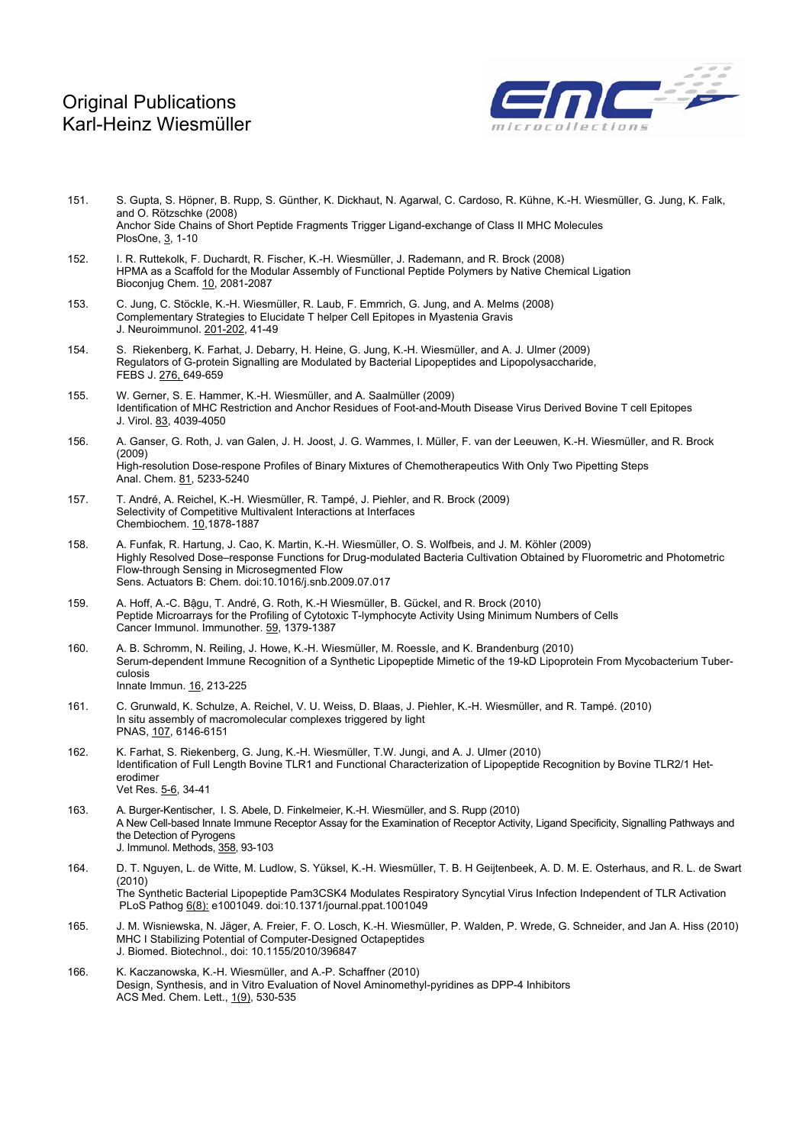

- 151. S. Gupta, S. Höpner, B. Rupp, S. Günther, K. Dickhaut, N. Agarwal, C. Cardoso, R. Kühne, K.-H. Wiesmüller, G. Jung, K. Falk, and O. Rötzschke (2008) Anchor Side Chains of Short Peptide Fragments Trigger Ligand-exchange of Class II MHC Molecules PlosOne, 3, 1-10
- 152. I. R. Ruttekolk, F. Duchardt, R. Fischer, K.-H. Wiesmüller, J. Rademann, and R. Brock (2008) HPMA as a Scaffold for the Modular Assembly of Functional Peptide Polymers by Native Chemical Ligation Bioconjug Chem. 10, 2081-2087
- 153. C. Jung, C. Stöckle, K.-H. Wiesmüller, R. Laub, F. Emmrich, G. Jung, and A. Melms (2008) Complementary Strategies to Elucidate T helper Cell Epitopes in Myastenia Gravis J. Neuroimmunol. 201-202, 41-49
- 154. S. Riekenberg, K. Farhat, J. Debarry, H. Heine, G. Jung, K.-H. Wiesmüller, and A. J. Ulmer (2009) Regulators of G-protein Signalling are Modulated by Bacterial Lipopeptides and Lipopolysaccharide, FEBS J. 276, 649-659
- 155. W. [Gerner, S. E.](http://www.ncbi.nlm.nih.gov/entrez/query.fcgi?db=pubmed&cmd=Search&itool=pubmed_AbstractPlus&term=%22Gerner+W%22%5BAuthor%5D) Hammer, K.-H. [Wiesmüller](http://www.ncbi.nlm.nih.gov/entrez/query.fcgi?db=pubmed&cmd=Search&itool=pubmed_AbstractPlus&term=%22Wiesmuller+KH%22%5BAuthor%5D), and A. [Saalmüller \(2009\)](http://www.ncbi.nlm.nih.gov/entrez/query.fcgi?db=pubmed&cmd=Search&itool=pubmed_AbstractPlus&term=%22Saalmuller+A%22%5BAuthor%5D)  Identification of MHC Restriction and Anchor Residues of Foot-and-Mouth Disease Virus Derived Bovine T cell Epitopes J. Virol. 83, 4039-4050
- 156. A. Ganser, G. Roth, J. van Galen, J. H. Joost, J. G. Wammes, I. Müller, F. van der Leeuwen, K.-H. Wiesmüller, and R. Brock (2009) High-resolution Dose-respone Profiles of Binary Mixtures of Chemotherapeutics With Only Two Pipetting Steps Anal. Chem. 81, 5233-5240
- 157. T. André, A. Reichel, K.-H. Wiesmüller, R. Tampé, J. Piehler, and R. Brock (2009) Selectivity of Competitive Multivalent Interactions at Interfaces Chembiochem. 10,1878-1887
- 158. A. Funfak, R. Hartung, J. Cao, K. Martin, K.-H. Wiesmüller, O. S. Wolfbeis, and J. M. Köhler (2009) Highly Resolved Dose–response Functions for Drug-modulated Bacteria Cultivation Obtained by Fluorometric and Photometric Flow-through Sensing in Microsegmented Flow Sens. Actuators B: Chem. doi:10.1016/j.snb.2009.07.017
- 159. A. Hoff, A.-C. Bậgu, T. André, G. Roth, K.-H Wiesmüller, B. Gückel, and R. Brock (2010) Peptide Microarrays for the Profiling of Cytotoxic T-lymphocyte Activity Using Minimum Numbers of Cells Cancer Immunol. Immunother. 59, 1379-1387
- 160. A. B. Schromm, N. Reiling, J. Howe, K.-H. Wiesmüller, M. Roessle, and K. Brandenburg (2010) Serum-dependent Immune Recognition of a Synthetic Lipopeptide Mimetic of the 19-kD Lipoprotein From Mycobacterium Tuberculosis Innate Immun. 16, 213-225
- 161. C. Grunwald, K. Schulze, A. Reichel, V. U. Weiss, D. Blaas, J. Piehler, K.-H. Wiesmüller, and R. Tampé. (2010) In situ assembly of macromolecular complexes triggered by light PNAS, 107, 6146-6151
- 162. K. Farhat, S. Riekenberg, G. Jung, K.-H. Wiesmüller, T.W. Jungi, and A. J. Ulmer (2010) Identification of Full Length Bovine TLR1 and Functional Characterization of Lipopeptide Recognition by Bovine TLR2/1 Heterodimer Vet Res. 5-6, 34-41
- 163. A. Burger-Kentischer, I. S. Abele, D. Finkelmeier, K.-H. Wiesmüller, and S. Rupp (2010) A New Cell-based Innate Immune Receptor Assay for the Examination of Receptor Activity, Ligand Specificity, Signalling Pathways and the Detection of Pyrogens J. Immunol. Methods, 358, 93-103
- 164. D. T. Nguyen, L. de Witte, M. Ludlow, S. Yüksel, K.-H. Wiesmüller, T. B. H Geijtenbeek, A. D. M. E. Osterhaus, and R. L. de Swart (2010) The Synthetic Bacterial Lipopeptide Pam3CSK4 Modulates Respiratory Syncytial Virus Infection Independent of TLR Activation PLoS Pathog 6(8): e1001049. doi:10.1371/journal.ppat.1001049
- 165. J. M. Wisniewska, N. Jäger, A. Freier, F. O. Losch, K.-H. Wiesmüller, P. Walden, P. Wrede, G. Schneider, and Jan A. Hiss (2010) MHC I Stabilizing Potential of Computer-Designed Octapeptides J. Biomed. Biotechnol., doi: 10.1155/2010/396847
- 166. K. Kaczanowska, K.-H. Wiesmüller, and A.-P. Schaffner (2010) Design, Synthesis, and in Vitro Evaluation of Novel Aminomethyl-pyridines as DPP-4 Inhibitors ACS Med. Chem. Lett., 1(9), 530-535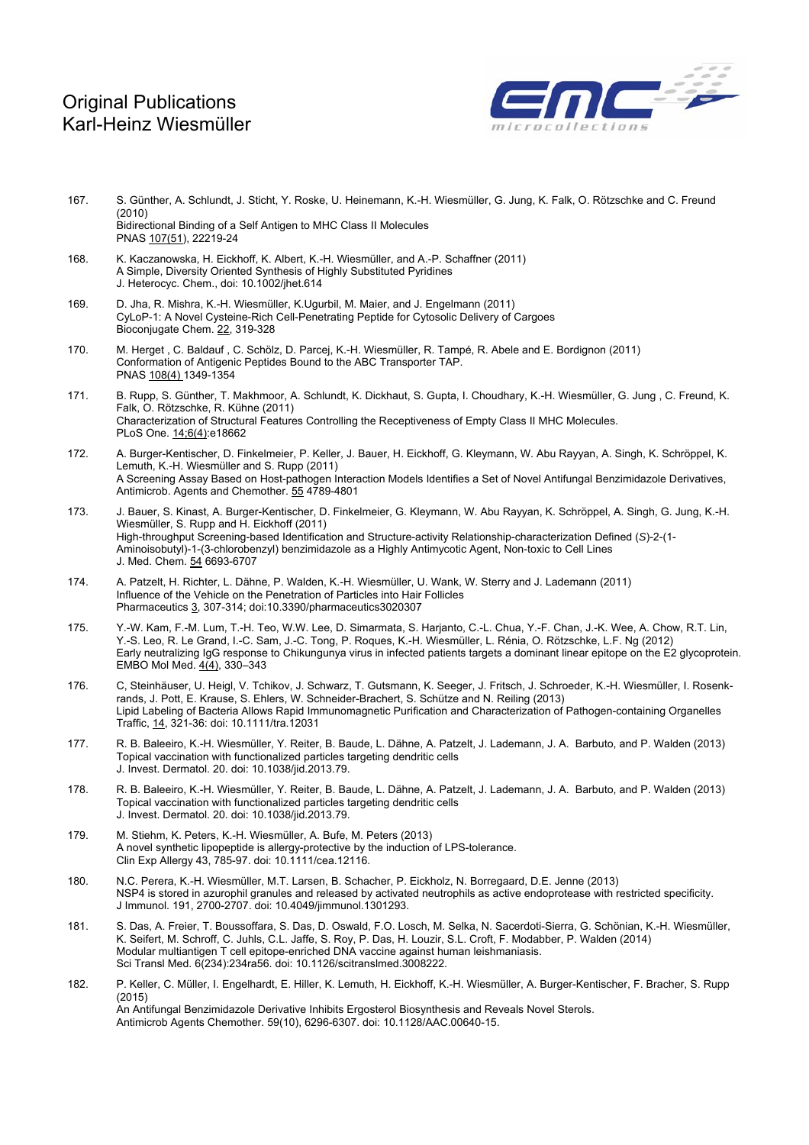

- 167. S. Günther, A. Schlundt, J. Sticht, Y. Roske, U. Heinemann, K.-H. Wiesmüller, G. Jung, K. Falk, O. Rötzschke and C. Freund (2010) Bidirectional Binding of a Self Antigen to MHC Class II Molecules PNAS 107(51), 22219-24
- 168. K. Kaczanowska, H. Eickhoff, K. Albert, K.-H. Wiesmüller, and A.-P. Schaffner (2011) A Simple, Diversity Oriented Synthesis of Highly Substituted Pyridines J. Heterocyc. Chem., doi: 10.1002/jhet.614
- 169. D. Jha, R. Mishra, K.-H. Wiesmüller, K.Ugurbil, M. Maier, and J. Engelmann (2011) CyLoP-1: A Novel Cysteine-Rich Cell-Penetrating Peptide for Cytosolic Delivery of Cargoes Bioconjugate Chem. 22, 319-328
- 170. M. Herget , C. Baldauf , C. Schölz, D. Parcej, K.-H. Wiesmüller, R. Tampé, R. Abele and E. Bordignon (2011) Conformation of Antigenic Peptides Bound to the ABC Transporter TAP. PNAS 108(4) 1349-1354
- 171. B. Rupp, S. Günther, T. Makhmoor, A. Schlundt, K. Dickhaut, S. Gupta, I. Choudhary, K.-H. Wiesmüller, G. Jung , C. Freund, K. Falk, O. Rötzschke, R. Kühne (2011) Characterization of Structural Features Controlling the Receptiveness of Empty Class II MHC Molecules. PLoS One. 14;6(4):e18662
- 172. A. Burger-Kentischer, D. Finkelmeier, P. Keller, J. Bauer, H. Eickhoff, G. Kleymann, W. Abu Rayyan, A. Singh, K. Schröppel, K. Lemuth, K.-H. Wiesmüller and S. Rupp (2011) A Screening Assay Based on Host-pathogen Interaction Models Identifies a Set of Novel Antifungal Benzimidazole Derivatives, Antimicrob. Agents and Chemother. 55 4789-4801
- 173. J. Bauer, S. Kinast, A. Burger-Kentischer, D. Finkelmeier, G. Kleymann, W. Abu Rayyan, K. Schröppel, A. Singh, G. Jung, K.-H. Wiesmüller, S. Rupp and H. Eickhoff (2011) High-throughput Screening-based Identification and Structure-activity Relationship-characterization Defined (*S*)-2-(1- Aminoisobutyl)-1-(3-chlorobenzyl) benzimidazole as a Highly Antimycotic Agent, Non-toxic to Cell Lines J. Med. Chem. 54 6693-6707
- 174. A. Patzelt, H. Richter, L. Dähne, P. Walden, K.-H. Wiesmüller, U. Wank, W. Sterry and J. Lademann (2011) Influence of the Vehicle on the Penetration of Particles into Hair Follicles Pharmaceutics 3, 307-314; doi:10.3390/pharmaceutics3020307
- 175. Y.-W. Kam, F.-M. Lum, T.-H. Teo, W.W. Lee, D. Simarmata, S. Harjanto, C.-L. Chua, Y.-F. Chan, J.-K. Wee, A. Chow, R.T. Lin, Y.-S. Leo, R. Le Grand, I.-C. Sam, J.-C. Tong, P. Roques, K.-H. Wiesmüller, L. Rénia, O. Rötzschke, L.F. Ng (2012) Early neutralizing IgG response to Chikungunya virus in infected patients targets a dominant linear epitope on the E2 glycoprotein. EMBO Mol Med. 4(4), 330–343
- 176. C, Steinhäuser, U. Heigl, V. Tchikov, J. Schwarz, T. Gutsmann, K. Seeger, J. Fritsch, J. Schroeder, K.-H. Wiesmüller, I. Rosenkrands, J. Pott, E. Krause, S. Ehlers, W. Schneider-Brachert, S. Schütze and N. Reiling (2013) Lipid Labeling of Bacteria Allows Rapid Immunomagnetic Purification and Characterization of Pathogen-containing Organelles Traffic, 14, 321-36: doi: 10.1111/tra.12031
- 177. R. B. Baleeiro, K.-H. Wiesmüller, Y. Reiter, B. Baude, L. Dähne, A. Patzelt, J. Lademann, J. A. Barbuto, and P. Walden (2013) Topical vaccination with functionalized particles targeting dendritic cells J. Invest. Dermatol. 20. doi: 10.1038/jid.2013.79.
- 178. R. B. Baleeiro, K.-H. Wiesmüller, Y. Reiter, B. Baude, L. Dähne, A. Patzelt, J. Lademann, J. A. Barbuto, and P. Walden (2013) Topical vaccination with functionalized particles targeting dendritic cells J. Invest. Dermatol. 20. doi: 10.1038/jid.2013.79.
- 179. M. Stiehm, K. Peters, K.-H. Wiesmüller, A. Bufe, M. Peters (2013) A novel synthetic lipopeptide is allergy-protective by the induction of LPS-tolerance. Clin Exp Allergy 43, 785-97. doi: 10.1111/cea.12116.
- 180. N.C. Perera, K.-H. Wiesmüller, M.T. Larsen, B. Schacher, P. Eickholz, N. Borregaard, D.E. Jenne (2013) NSP4 is stored in azurophil granules and released by activated neutrophils as active endoprotease with restricted specificity. J Immunol. 191, 2700-2707. doi: 10.4049/jimmunol.1301293.
- 181. S. Das, A. Freier, T. Boussoffara, S. Das, D. Oswald, F.O. Losch, M. Selka, N. Sacerdoti-Sierra, G. Schönian, K.-H. Wiesmüller, K. Seifert, M. Schroff, C. Juhls, C.L. Jaffe, S. Roy, P. Das, H. Louzir, S.L. Croft, F. Modabber, P. Walden (2014) Modular multiantigen T cell epitope-enriched DNA vaccine against human leishmaniasis. Sci Transl Med. 6(234):234ra56. doi: 10.1126/scitranslmed.3008222.
- 182. P. Keller, C. Müller, I. Engelhardt, E. Hiller, K. Lemuth, H. Eickhoff, K.-H. Wiesmüller, A. Burger-Kentischer, F. Bracher, S. Rupp (2015) An Antifungal Benzimidazole Derivative Inhibits Ergosterol Biosynthesis and Reveals Novel Sterols. Antimicrob Agents Chemother. 59(10), 6296-6307. doi: 10.1128/AAC.00640-15.